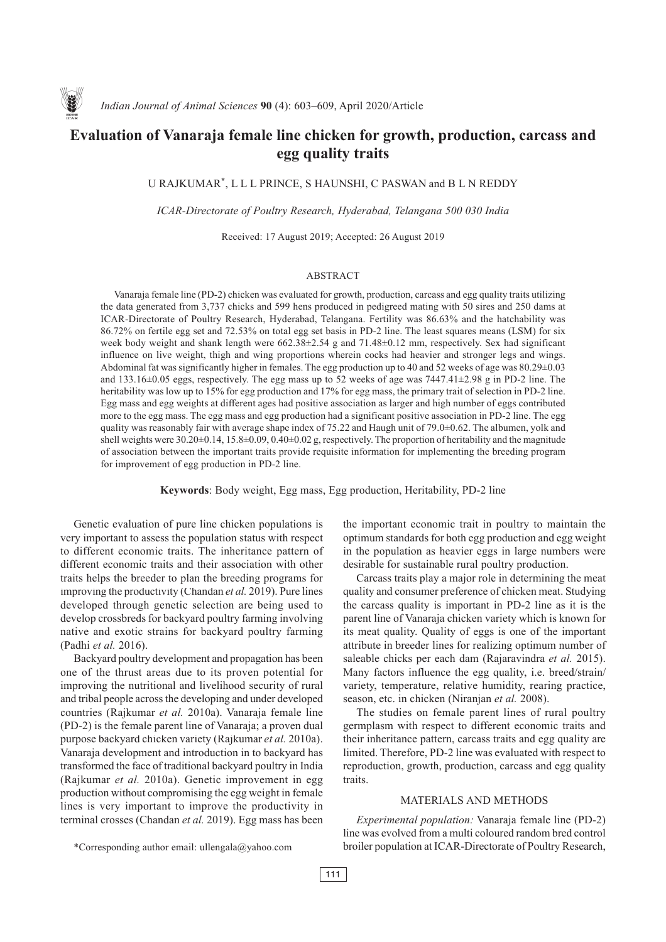

# **Evaluation of Vanaraja female line chicken for growth, production, carcass and egg quality traits**

U RAJKUMAR\*, L L L PRINCE, S HAUNSHI, C PASWAN and B L N REDDY

*ICAR-Directorate of Poultry Research, Hyderabad, Telangana 500 030 India*

Received: 17 August 2019; Accepted: 26 August 2019

## ABSTRACT

Vanaraja female line (PD-2) chicken was evaluated for growth, production, carcass and egg quality traits utilizing the data generated from 3,737 chicks and 599 hens produced in pedigreed mating with 50 sires and 250 dams at ICAR-Directorate of Poultry Research, Hyderabad, Telangana. Fertility was 86.63% and the hatchability was 86.72% on fertile egg set and 72.53% on total egg set basis in PD-2 line. The least squares means (LSM) for six week body weight and shank length were 662.38±2.54 g and 71.48±0.12 mm, respectively. Sex had significant influence on live weight, thigh and wing proportions wherein cocks had heavier and stronger legs and wings. Abdominal fat was significantly higher in females. The egg production up to 40 and 52 weeks of age was 80.29±0.03 and 133.16±0.05 eggs, respectively. The egg mass up to 52 weeks of age was 7447.41±2.98 g in PD-2 line. The heritability was low up to 15% for egg production and 17% for egg mass, the primary trait of selection in PD-2 line. Egg mass and egg weights at different ages had positive association as larger and high number of eggs contributed more to the egg mass. The egg mass and egg production had a significant positive association in PD-2 line. The egg quality was reasonably fair with average shape index of 75.22 and Haugh unit of 79.0±0.62. The albumen, yolk and shell weights were 30.20±0.14, 15.8±0.09, 0.40±0.02 g, respectively. The proportion of heritability and the magnitude of association between the important traits provide requisite information for implementing the breeding program for improvement of egg production in PD-2 line.

**Keywords**: Body weight, Egg mass, Egg production, Heritability, PD-2 line

Genetic evaluation of pure line chicken populations is very important to assess the population status with respect to different economic traits. The inheritance pattern of different economic traits and their association with other traits helps the breeder to plan the breeding programs for improving the productivity (Chandan *et al.* 2019). Pure lines developed through genetic selection are being used to develop crossbreds for backyard poultry farming involving native and exotic strains for backyard poultry farming (Padhi *et al.* 2016).

Backyard poultry development and propagation has been one of the thrust areas due to its proven potential for improving the nutritional and livelihood security of rural and tribal people across the developing and under developed countries (Rajkumar *et al.* 2010a). Vanaraja female line (PD-2) is the female parent line of Vanaraja; a proven dual purpose backyard chicken variety (Rajkumar *et al.* 2010a). Vanaraja development and introduction in to backyard has transformed the face of traditional backyard poultry in India (Rajkumar *et al.* 2010a). Genetic improvement in egg production without compromising the egg weight in female lines is very important to improve the productivity in terminal crosses (Chandan *et al.* 2019). Egg mass has been

the important economic trait in poultry to maintain the optimum standards for both egg production and egg weight in the population as heavier eggs in large numbers were desirable for sustainable rural poultry production.

Carcass traits play a major role in determining the meat quality and consumer preference of chicken meat. Studying the carcass quality is important in PD-2 line as it is the parent line of Vanaraja chicken variety which is known for its meat quality. Quality of eggs is one of the important attribute in breeder lines for realizing optimum number of saleable chicks per each dam (Rajaravindra *et al.* 2015). Many factors influence the egg quality, i.e. breed/strain/ variety, temperature, relative humidity, rearing practice, season, etc. in chicken (Niranjan *et al.* 2008).

The studies on female parent lines of rural poultry germplasm with respect to different economic traits and their inheritance pattern, carcass traits and egg quality are limited. Therefore, PD-2 line was evaluated with respect to reproduction, growth, production, carcass and egg quality traits.

# MATERIALS AND METHODS

*Experimental population:* Vanaraja female line (PD-2) line was evolved from a multi coloured random bred control broiler population at ICAR-Directorate of Poultry Research,

<sup>\*</sup>Corresponding author email: ullengala@yahoo.com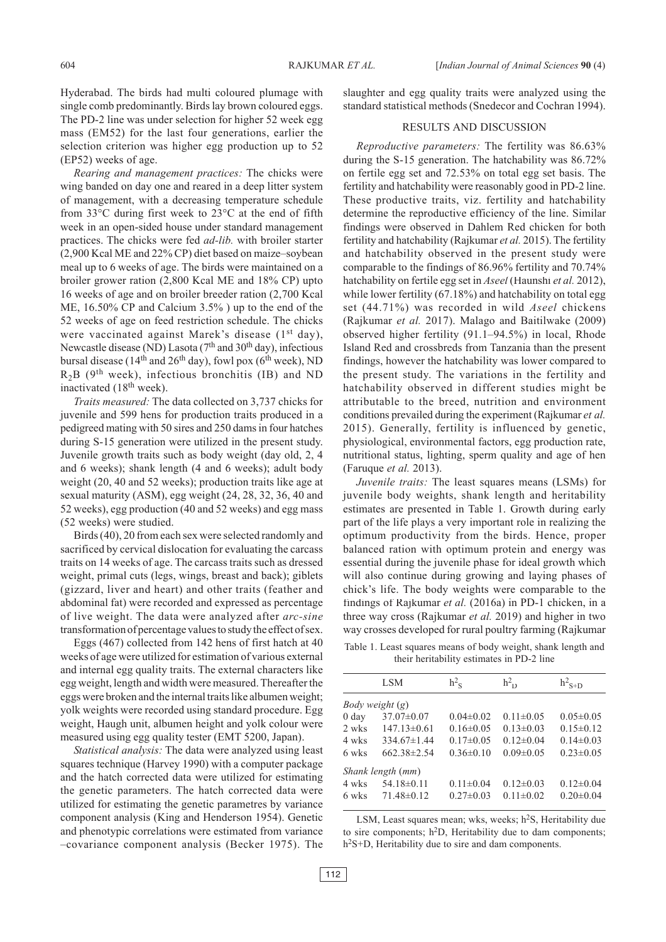Hyderabad. The birds had multi coloured plumage with single comb predominantly. Birds lay brown coloured eggs. The PD-2 line was under selection for higher 52 week egg mass (EM52) for the last four generations, earlier the selection criterion was higher egg production up to 52 (EP52) weeks of age.

*Rearing and management practices:* The chicks were wing banded on day one and reared in a deep litter system of management, with a decreasing temperature schedule from 33°C during first week to 23°C at the end of fifth week in an open-sided house under standard management practices. The chicks were fed *ad-lib.* with broiler starter (2,900 Kcal ME and 22% CP) diet based on maize–soybean meal up to 6 weeks of age. The birds were maintained on a broiler grower ration (2,800 Kcal ME and 18% CP) upto 16 weeks of age and on broiler breeder ration (2,700 Kcal ME, 16.50% CP and Calcium 3.5% ) up to the end of the 52 weeks of age on feed restriction schedule. The chicks were vaccinated against Marek's disease (1<sup>st</sup> day), Newcastle disease (ND) Lasota ( $7<sup>th</sup>$  and  $30<sup>th</sup>$  day), infectious bursal disease ( $14<sup>th</sup>$  and  $26<sup>th</sup>$  day), fowl pox ( $6<sup>th</sup>$  week), ND  $R_2B$  (9<sup>th</sup> week), infectious bronchitis (IB) and ND inactivated (18th week).

*Traits measured:* The data collected on 3,737 chicks for juvenile and 599 hens for production traits produced in a pedigreed mating with 50 sires and 250 dams in four hatches during S-15 generation were utilized in the present study. Juvenile growth traits such as body weight (day old, 2, 4 and 6 weeks); shank length (4 and 6 weeks); adult body weight (20, 40 and 52 weeks); production traits like age at sexual maturity (ASM), egg weight (24, 28, 32, 36, 40 and 52 weeks), egg production (40 and 52 weeks) and egg mass (52 weeks) were studied.

Birds (40), 20 from each sex were selected randomly and sacrificed by cervical dislocation for evaluating the carcass traits on 14 weeks of age. The carcass traits such as dressed weight, primal cuts (legs, wings, breast and back); giblets (gizzard, liver and heart) and other traits (feather and abdominal fat) were recorded and expressed as percentage of live weight. The data were analyzed after *arc-sine* transformation of percentage values to study the effect of sex.

Eggs (467) collected from 142 hens of first hatch at 40 weeks of age were utilized for estimation of various external and internal egg quality traits. The external characters like egg weight, length and width were measured. Thereafter the eggs were broken and the internal traits like albumen weight; yolk weights were recorded using standard procedure. Egg weight, Haugh unit, albumen height and yolk colour were measured using egg quality tester (EMT 5200, Japan).

*Statistical analysis:* The data were analyzed using least squares technique (Harvey 1990) with a computer package and the hatch corrected data were utilized for estimating the genetic parameters. The hatch corrected data were utilized for estimating the genetic parametres by variance component analysis (King and Henderson 1954). Genetic and phenotypic correlations were estimated from variance –covariance component analysis (Becker 1975). The

slaughter and egg quality traits were analyzed using the standard statistical methods (Snedecor and Cochran 1994).

## RESULTS AND DISCUSSION

*Reproductive parameters:* The fertility was 86.63% during the S-15 generation. The hatchability was 86.72% on fertile egg set and 72.53% on total egg set basis. The fertility and hatchability were reasonably good in PD-2 line. These productive traits, viz. fertility and hatchability determine the reproductive efficiency of the line. Similar findings were observed in Dahlem Red chicken for both fertility and hatchability (Rajkumar *et al.* 2015). The fertility and hatchability observed in the present study were comparable to the findings of 86.96% fertility and 70.74% hatchability on fertile egg set in *Aseel* (Haunshi *et al.* 2012), while lower fertility (67.18%) and hatchability on total egg set (44.71%) was recorded in wild *Aseel* chickens (Rajkumar *et al.* 2017). Malago and Baitilwake (2009) observed higher fertility (91.1–94.5%) in local, Rhode Island Red and crossbreds from Tanzania than the present findings, however the hatchability was lower compared to the present study. The variations in the fertility and hatchability observed in different studies might be attributable to the breed, nutrition and environment conditions prevailed during the experiment (Rajkumar *et al.* 2015). Generally, fertility is influenced by genetic, physiological, environmental factors, egg production rate, nutritional status, lighting, sperm quality and age of hen (Faruque *et al.* 2013).

*Juvenile traits:* The least squares means (LSMs) for juvenile body weights, shank length and heritability estimates are presented in Table 1. Growth during early part of the life plays a very important role in realizing the optimum productivity from the birds. Hence, proper balanced ration with optimum protein and energy was essential during the juvenile phase for ideal growth which will also continue during growing and laying phases of chick's life. The body weights were comparable to the findings of Rajkumar *et al.* (2016a) in PD-1 chicken, in a three way cross (Rajkumar *et al.* 2019) and higher in two way crosses developed for rural poultry farming (Rajkumar

Table 1. Least squares means of body weight, shank length and their heritability estimates in PD-2 line

|                  | LSM                    | $h^2$ <sub>c</sub> | $h_{\rm D}^2$   | $h^2$ <sub>S+D</sub> |
|------------------|------------------------|--------------------|-----------------|----------------------|
|                  | <i>Body weight</i> (g) |                    |                 |                      |
| 0 <sub>day</sub> | $37.07 \pm 0.07$       | $0.04 \pm 0.02$    | $0.11 \pm 0.05$ | $0.05 \pm 0.05$      |
| 2 wks            | $147.13 \pm 0.61$      | $0.16 \pm 0.05$    | $0.13 \pm 0.03$ | $0.15 \pm 0.12$      |
| 4 wks            | $334.67 \pm 1.44$      | $0.17 \pm 0.05$    | $0.12 \pm 0.04$ | $0.14\pm0.03$        |
| 6 wks            | $662.38\pm2.54$        | $0.36\pm0.10$      | $0.09 \pm 0.05$ | $0.23 \pm 0.05$      |
|                  | Shank length (mm)      |                    |                 |                      |
| 4 wks            | $54.18 \pm 0.11$       | $0.11 \pm 0.04$    | $0.12\pm0.03$   | $0.12 \pm 0.04$      |
| 6 wks            | $71.48 \pm 0.12$       | $0.27 \pm 0.03$    | $0.11 \pm 0.02$ | $0.20 \pm 0.04$      |
|                  |                        |                    |                 |                      |

LSM, Least squares mean; wks, weeks;  $h<sup>2</sup>S$ , Heritability due to sire components;  $h^2D$ , Heritability due to dam components; h<sup>2</sup>S+D, Heritability due to sire and dam components.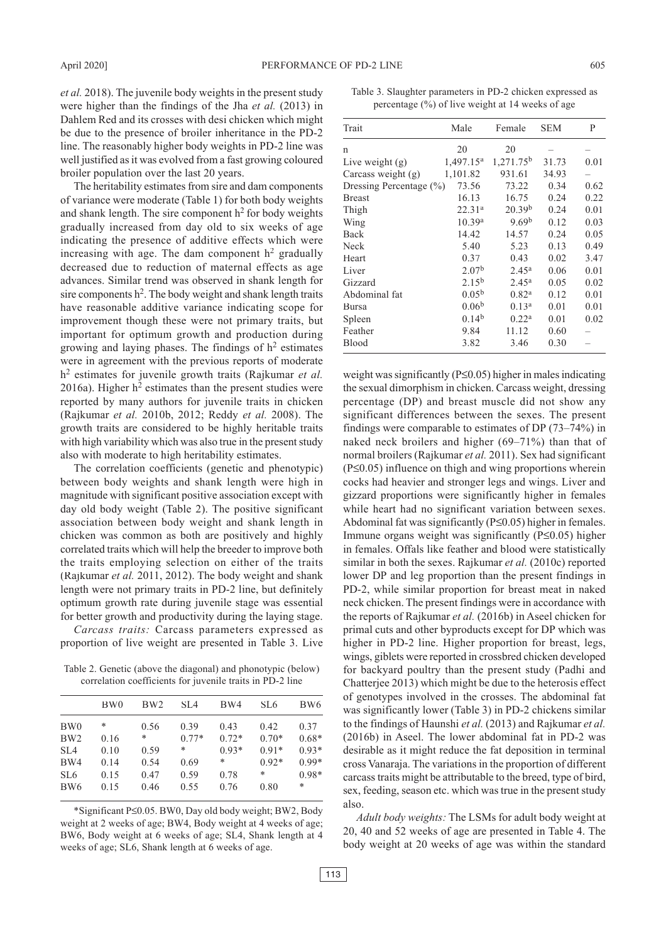*et al.* 2018). The juvenile body weights in the present study were higher than the findings of the Jha *et al.* (2013) in Dahlem Red and its crosses with desi chicken which might be due to the presence of broiler inheritance in the PD-2 line. The reasonably higher body weights in PD-2 line was well justified as it was evolved from a fast growing coloured broiler population over the last 20 years.

The heritability estimates from sire and dam components of variance were moderate (Table 1) for both body weights and shank length. The sire component  $h^2$  for body weights gradually increased from day old to six weeks of age indicating the presence of additive effects which were increasing with age. The dam component  $h^2$  gradually decreased due to reduction of maternal effects as age advances. Similar trend was observed in shank length for sire components  $h^2$ . The body weight and shank length traits have reasonable additive variance indicating scope for improvement though these were not primary traits, but important for optimum growth and production during growing and laying phases. The findings of  $h<sup>2</sup>$  estimates were in agreement with the previous reports of moderate h2 estimates for juvenile growth traits (Rajkumar *et al.* 2016a). Higher  $h^2$  estimates than the present studies were reported by many authors for juvenile traits in chicken (Rajkumar *et al.* 2010b, 2012; Reddy *et al.* 2008). The growth traits are considered to be highly heritable traits with high variability which was also true in the present study also with moderate to high heritability estimates.

The correlation coefficients (genetic and phenotypic) between body weights and shank length were high in magnitude with significant positive association except with day old body weight (Table 2). The positive significant association between body weight and shank length in chicken was common as both are positively and highly correlated traits which will help the breeder to improve both the traits employing selection on either of the traits (Rajkumar *et al.* 2011, 2012). The body weight and shank length were not primary traits in PD-2 line, but definitely optimum growth rate during juvenile stage was essential for better growth and productivity during the laying stage.

*Carcass traits:* Carcass parameters expressed as proportion of live weight are presented in Table 3. Live

Table 2. Genetic (above the diagonal) and phonotypic (below) correlation coefficients for juvenile traits in PD-2 line

|                 | BW <sub>0</sub> | BW <sub>2</sub> | SL <sub>4</sub> | BW4     | SL6     | BW <sub>6</sub> |
|-----------------|-----------------|-----------------|-----------------|---------|---------|-----------------|
| BW <sub>0</sub> | *               | 0.56            | 0.39            | 0.43    | 0.42    | 0.37            |
| BW <sub>2</sub> | 0.16            | *               | $0.77*$         | $0.72*$ | $0.70*$ | $0.68*$         |
| SL <sub>4</sub> | 0.10            | 0.59            | *               | $0.93*$ | $0.91*$ | $0.93*$         |
| BW4             | 0.14            | 0.54            | 0.69            | *       | $0.92*$ | $0.99*$         |
| SL <sub>6</sub> | 0.15            | 0.47            | 0.59            | 0.78    | *       | $0.98*$         |
| BW <sub>6</sub> | 0.15            | 0.46            | 0.55            | 0.76    | 0.80    | *               |

\*Significant P≤0.05. BW0, Day old body weight; BW2, Body weight at 2 weeks of age; BW4, Body weight at 4 weeks of age; BW6, Body weight at 6 weeks of age; SL4, Shank length at 4 weeks of age; SL6, Shank length at 6 weeks of age.

Table 3. Slaughter parameters in PD-2 chicken expressed as percentage (%) of live weight at 14 weeks of age

| Trait                       | Male               | Female             | <b>SEM</b> | P    |
|-----------------------------|--------------------|--------------------|------------|------|
| n                           | 20                 | 20                 |            |      |
| Live weight (g)             | $1,497.15^a$       | $1,271.75^b$       | 31.73      | 0.01 |
| Carcass weight (g)          | 1,101.82           | 931.61             | 34.93      |      |
| Dressing Percentage $(\% )$ | 73.56              | 73.22              | 0.34       | 0.62 |
| Breast                      | 16.13              | 16.75              | 0.24       | 0.22 |
| Thigh                       | 22.31 <sup>a</sup> | 20.39 <sup>b</sup> | 0.24       | 0.01 |
| Wing                        | 10.39 <sup>a</sup> | 9.69 <sup>b</sup>  | 0.12       | 0.03 |
| Back                        | 14.42              | 14.57              | 0.24       | 0.05 |
| Neck                        | 5.40               | 5.23               | 0.13       | 0.49 |
| Heart                       | 0.37               | 0.43               | 0.02       | 3.47 |
| Liver                       | 2.07 <sup>b</sup>  | $2.45^{\rm a}$     | 0.06       | 0.01 |
| Gizzard                     | $2.15^{b}$         | $2.45^{\rm a}$     | 0.05       | 0.02 |
| Abdominal fat               | $0.05^{b}$         | 0.82 <sup>a</sup>  | 0.12       | 0.01 |
| Bursa                       | 0.06 <sup>b</sup>  | 0.13 <sup>a</sup>  | 0.01       | 0.01 |
| Spleen                      | 0.14 <sup>b</sup>  | 0.22 <sup>a</sup>  | 0.01       | 0.02 |
| Feather                     | 9.84               | 11.12              | 0.60       |      |
| Blood                       | 3.82               | 3.46               | 0.30       |      |
|                             |                    |                    |            |      |

weight was significantly (P≤0.05) higher in males indicating the sexual dimorphism in chicken. Carcass weight, dressing percentage (DP) and breast muscle did not show any significant differences between the sexes. The present findings were comparable to estimates of DP (73–74%) in naked neck broilers and higher (69–71%) than that of normal broilers (Rajkumar *et al.* 2011). Sex had significant (P≤0.05) influence on thigh and wing proportions wherein cocks had heavier and stronger legs and wings. Liver and gizzard proportions were significantly higher in females while heart had no significant variation between sexes. Abdominal fat was significantly (P≤0.05) higher in females. Immune organs weight was significantly (P≤0.05) higher in females. Offals like feather and blood were statistically similar in both the sexes. Rajkumar *et al.* (2010c) reported lower DP and leg proportion than the present findings in PD-2, while similar proportion for breast meat in naked neck chicken. The present findings were in accordance with the reports of Rajkumar *et al.* (2016b) in Aseel chicken for primal cuts and other byproducts except for DP which was higher in PD-2 line. Higher proportion for breast, legs, wings, giblets were reported in crossbred chicken developed for backyard poultry than the present study (Padhi and Chatterjee 2013) which might be due to the heterosis effect of genotypes involved in the crosses. The abdominal fat was significantly lower (Table 3) in PD-2 chickens similar to the findings of Haunshi *et al.* (2013) and Rajkumar *et al.* (2016b) in Aseel. The lower abdominal fat in PD-2 was desirable as it might reduce the fat deposition in terminal cross Vanaraja. The variations in the proportion of different carcass traits might be attributable to the breed, type of bird, sex, feeding, season etc. which was true in the present study also.

*Adult body weights:* The LSMs for adult body weight at 20, 40 and 52 weeks of age are presented in Table 4. The body weight at 20 weeks of age was within the standard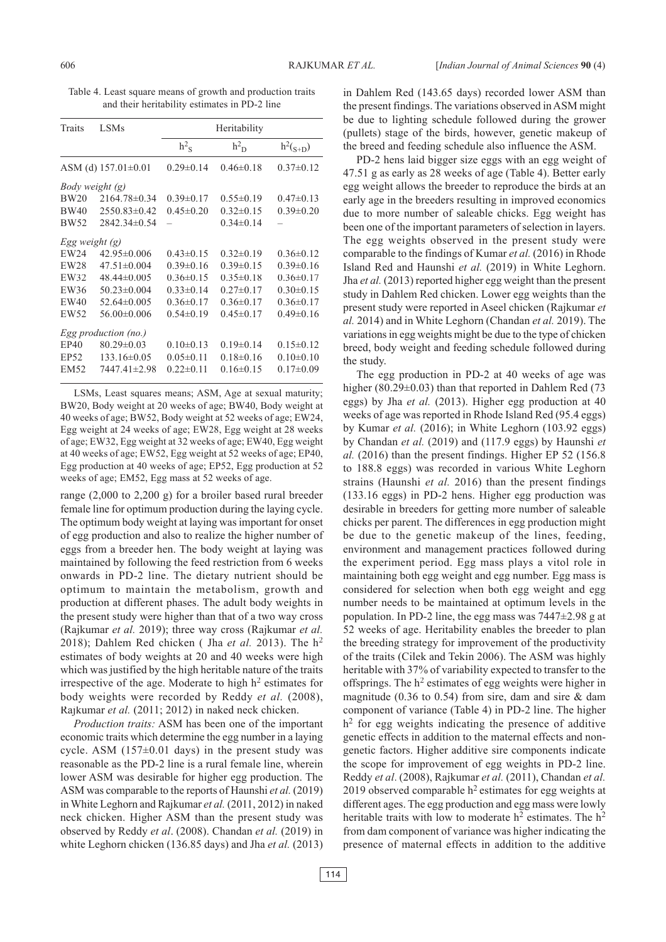Table 4. Least square means of growth and production traits and their heritability estimates in PD-2 line

| <b>Traits</b>          | <b>LSMs</b>               | Heritability       |                    |                 |  |  |  |
|------------------------|---------------------------|--------------------|--------------------|-----------------|--|--|--|
|                        |                           | $h^2$ <sub>S</sub> | $h^2$ <sub>D</sub> | $h^2(s+D)$      |  |  |  |
|                        | ASM (d) $157.01 \pm 0.01$ | $0.29 \pm 0.14$    | $0.46 \pm 0.18$    | $0.37 \pm 0.12$ |  |  |  |
| <i>Body weight (g)</i> |                           |                    |                    |                 |  |  |  |
| <b>BW20</b>            | 2164.78±0.34              | $0.39 \pm 0.17$    | $0.55 \pm 0.19$    | $0.47 \pm 0.13$ |  |  |  |
| <b>BW40</b>            | $2550.83\pm0.42$          | $0.45 \pm 0.20$    | $0.32 \pm 0.15$    | $0.39 \pm 0.20$ |  |  |  |
| <b>BW52</b>            | $2842.34\pm 0.54$         |                    | $0.34 \pm 0.14$    |                 |  |  |  |
| Egg weight (g)         |                           |                    |                    |                 |  |  |  |
| EW24                   | $42.95 \pm 0.006$         | $0.43 \pm 0.15$    | $0.32 \pm 0.19$    | $0.36 \pm 0.12$ |  |  |  |
| <b>EW28</b>            | $47.51 \pm 0.004$         | $0.39 \pm 0.16$    | $0.39 \pm 0.15$    | $0.39\pm0.16$   |  |  |  |
| EW32                   | 48.44±0.005               | $0.36 \pm 0.15$    | $0.35 \pm 0.18$    | $0.36 \pm 0.17$ |  |  |  |
| EW36                   | $50.23 \pm 0.004$         | $0.33 \pm 0.14$    | $0.27 \pm 0.17$    | $0.30\pm0.15$   |  |  |  |
| EW40                   | $52.64\pm0.005$           | $0.36 \pm 0.17$    | $0.36 \pm 0.17$    | $0.36 \pm 0.17$ |  |  |  |
| EW52                   | $56.00 \pm 0.006$         | $0.54 \pm 0.19$    | $0.45 \pm 0.17$    | $0.49 \pm 0.16$ |  |  |  |
| Egg production (no.)   |                           |                    |                    |                 |  |  |  |
| EP40                   | $80.29 \pm 0.03$          | $0.10 \pm 0.13$    | $0.19 \pm 0.14$    | $0.15 \pm 0.12$ |  |  |  |
| <b>EP52</b>            | $133.16\pm0.05$           | $0.05 \pm 0.11$    | $0.18 \pm 0.16$    | $0.10\pm0.10$   |  |  |  |
| EM52                   | 7447.41±2.98              | $0.22 \pm 0.11$    | $0.16 \pm 0.15$    | $0.17 \pm 0.09$ |  |  |  |
|                        |                           |                    |                    |                 |  |  |  |

LSMs, Least squares means; ASM, Age at sexual maturity; BW20, Body weight at 20 weeks of age; BW40, Body weight at 40 weeks of age; BW52, Body weight at 52 weeks of age; EW24, Egg weight at 24 weeks of age; EW28, Egg weight at 28 weeks of age; EW32, Egg weight at 32 weeks of age; EW40, Egg weight at 40 weeks of age; EW52, Egg weight at 52 weeks of age; EP40, Egg production at 40 weeks of age; EP52, Egg production at 52 weeks of age; EM52, Egg mass at 52 weeks of age.

range (2,000 to 2,200 g) for a broiler based rural breeder female line for optimum production during the laying cycle. The optimum body weight at laying was important for onset of egg production and also to realize the higher number of eggs from a breeder hen. The body weight at laying was maintained by following the feed restriction from 6 weeks onwards in PD-2 line. The dietary nutrient should be optimum to maintain the metabolism, growth and production at different phases. The adult body weights in the present study were higher than that of a two way cross (Rajkumar *et al.* 2019); three way cross (Rajkumar *et al.* 2018); Dahlem Red chicken ( Jha *et al.* 2013). The h<sup>2</sup> estimates of body weights at 20 and 40 weeks were high which was justified by the high heritable nature of the traits irrespective of the age. Moderate to high  $h<sup>2</sup>$  estimates for body weights were recorded by Reddy *et al.* (2008), Rajkumar *et al.* (2011; 2012) in naked neck chicken.

*Production traits:* ASM has been one of the important economic traits which determine the egg number in a laying cycle. ASM  $(157\pm0.01$  days) in the present study was reasonable as the PD-2 line is a rural female line, wherein lower ASM was desirable for higher egg production. The ASM was comparable to the reports of Haunshi *et al.* (2019) in White Leghorn and Rajkumar *et al.* (2011, 2012) in naked neck chicken. Higher ASM than the present study was observed by Reddy *et al*. (2008). Chandan *et al.* (2019) in white Leghorn chicken (136.85 days) and Jha *et al.* (2013)

in Dahlem Red (143.65 days) recorded lower ASM than the present findings. The variations observed in ASM might be due to lighting schedule followed during the grower (pullets) stage of the birds, however, genetic makeup of the breed and feeding schedule also influence the ASM.

PD-2 hens laid bigger size eggs with an egg weight of 47.51 g as early as 28 weeks of age (Table 4). Better early egg weight allows the breeder to reproduce the birds at an early age in the breeders resulting in improved economics due to more number of saleable chicks. Egg weight has been one of the important parameters of selection in layers. The egg weights observed in the present study were comparable to the findings of Kumar *et al.* (2016) in Rhode Island Red and Haunshi *et al.* (2019) in White Leghorn. Jha *et al.* (2013) reported higher egg weight than the present study in Dahlem Red chicken. Lower egg weights than the present study were reported in Aseel chicken (Rajkumar *et al.* 2014) and in White Leghorn (Chandan *et al.* 2019). The variations in egg weights might be due to the type of chicken breed, body weight and feeding schedule followed during the study.

The egg production in PD-2 at 40 weeks of age was higher (80.29±0.03) than that reported in Dahlem Red (73 eggs) by Jha *et al.* (2013). Higher egg production at 40 weeks of age was reported in Rhode Island Red (95.4 eggs) by Kumar *et al.* (2016); in White Leghorn (103.92 eggs) by Chandan *et al.* (2019) and (117.9 eggs) by Haunshi *et al.* (2016) than the present findings. Higher EP 52 (156.8 to 188.8 eggs) was recorded in various White Leghorn strains (Haunshi *et al.* 2016) than the present findings (133.16 eggs) in PD-2 hens. Higher egg production was desirable in breeders for getting more number of saleable chicks per parent. The differences in egg production might be due to the genetic makeup of the lines, feeding, environment and management practices followed during the experiment period. Egg mass plays a vitol role in maintaining both egg weight and egg number. Egg mass is considered for selection when both egg weight and egg number needs to be maintained at optimum levels in the population. In PD-2 line, the egg mass was 7447±2.98 g at 52 weeks of age. Heritability enables the breeder to plan the breeding strategy for improvement of the productivity of the traits (Cilek and Tekin 2006). The ASM was highly heritable with 37% of variability expected to transfer to the offsprings. The  $h^2$  estimates of egg weights were higher in magnitude (0.36 to 0.54) from sire, dam and sire  $\&$  dam component of variance (Table 4) in PD-2 line. The higher  $h<sup>2</sup>$  for egg weights indicating the presence of additive genetic effects in addition to the maternal effects and nongenetic factors. Higher additive sire components indicate the scope for improvement of egg weights in PD-2 line. Reddy *et al*. (2008), Rajkumar *et al.* (2011), Chandan *et al.* 2019 observed comparable  $h^2$  estimates for egg weights at different ages. The egg production and egg mass were lowly heritable traits with low to moderate  $h^2$  estimates. The  $h^2$ from dam component of variance was higher indicating the presence of maternal effects in addition to the additive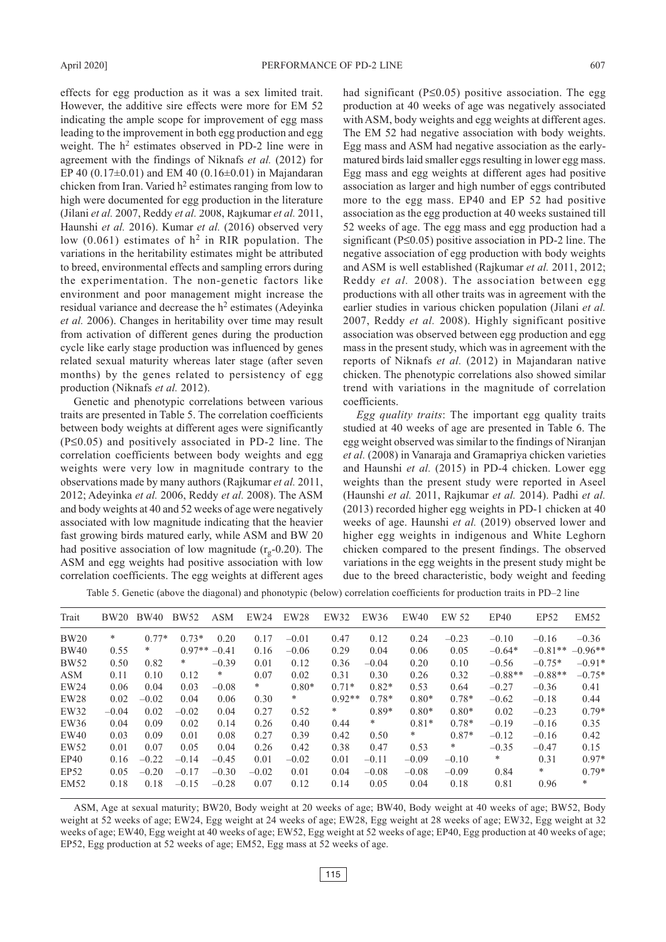effects for egg production as it was a sex limited trait. However, the additive sire effects were more for EM 52 indicating the ample scope for improvement of egg mass leading to the improvement in both egg production and egg weight. The  $h^2$  estimates observed in PD-2 line were in agreement with the findings of Niknafs *et al.* (2012) for EP 40 (0.17 $\pm$ 0.01) and EM 40 (0.16 $\pm$ 0.01) in Majandaran chicken from Iran. Varied  $h^2$  estimates ranging from low to high were documented for egg production in the literature (Jilani *et al.* 2007, Reddy *et al.* 2008, Rajkumar *et al.* 2011, Haunshi *et al.* 2016). Kumar *et al.* (2016) observed very low  $(0.061)$  estimates of  $h^2$  in RIR population. The variations in the heritability estimates might be attributed to breed, environmental effects and sampling errors during the experimentation. The non-genetic factors like environment and poor management might increase the residual variance and decrease the h<sup>2</sup> estimates (Adeyinka *et al.* 2006). Changes in heritability over time may result from activation of different genes during the production cycle like early stage production was influenced by genes related sexual maturity whereas later stage (after seven months) by the genes related to persistency of egg production (Niknafs *et al.* 2012).

Genetic and phenotypic correlations between various traits are presented in Table 5. The correlation coefficients between body weights at different ages were significantly (P≤0.05) and positively associated in PD-2 line. The correlation coefficients between body weights and egg weights were very low in magnitude contrary to the observations made by many authors (Rajkumar *et al.* 2011, 2012; Adeyinka *et al.* 2006, Reddy *et al.* 2008). The ASM and body weights at 40 and 52 weeks of age were negatively associated with low magnitude indicating that the heavier fast growing birds matured early, while ASM and BW 20 had positive association of low magnitude  $(r_{\alpha} - 0.20)$ . The ASM and egg weights had positive association with low correlation coefficients. The egg weights at different ages

had significant (P≤0.05) positive association. The egg production at 40 weeks of age was negatively associated with ASM, body weights and egg weights at different ages. The EM 52 had negative association with body weights. Egg mass and ASM had negative association as the earlymatured birds laid smaller eggs resulting in lower egg mass. Egg mass and egg weights at different ages had positive association as larger and high number of eggs contributed more to the egg mass. EP40 and EP 52 had positive association as the egg production at 40 weeks sustained till 52 weeks of age. The egg mass and egg production had a significant (P≤0.05) positive association in PD-2 line. The negative association of egg production with body weights and ASM is well established (Rajkumar *et al.* 2011, 2012; Reddy *et al.* 2008). The association between egg productions with all other traits was in agreement with the earlier studies in various chicken population (Jilani *et al.* 2007, Reddy *et al.* 2008). Highly significant positive association was observed between egg production and egg mass in the present study, which was in agreement with the reports of Niknafs *et al.* (2012) in Majandaran native chicken. The phenotypic correlations also showed similar trend with variations in the magnitude of correlation coefficients.

*Egg quality traits*: The important egg quality traits studied at 40 weeks of age are presented in Table 6. The egg weight observed was similar to the findings of Niranjan *et al.* (2008) in Vanaraja and Gramapriya chicken varieties and Haunshi *et al.* (2015) in PD-4 chicken. Lower egg weights than the present study were reported in Aseel (Haunshi *et al.* 2011, Rajkumar *et al.* 2014). Padhi *et al.* (2013) recorded higher egg weights in PD-1 chicken at 40 weeks of age. Haunshi *et al.* (2019) observed lower and higher egg weights in indigenous and White Leghorn chicken compared to the present findings. The observed variations in the egg weights in the present study might be due to the breed characteristic, body weight and feeding

Table 5. Genetic (above the diagonal) and phonotypic (below) correlation coefficients for production traits in PD–2 line

| Trait       | <b>BW20</b> | <b>BW40</b> | <b>BW52</b> | <b>ASM</b> | EW24    | EW28    | EW32     | EW36    | EW40    | EW 52   | EP40      | EP52      | EM52      |
|-------------|-------------|-------------|-------------|------------|---------|---------|----------|---------|---------|---------|-----------|-----------|-----------|
| <b>BW20</b> | *           | $0.77*$     | $0.73*$     | 0.20       | 0.17    | $-0.01$ | 0.47     | 0.12    | 0.24    | $-0.23$ | $-0.10$   | $-0.16$   | $-0.36$   |
| <b>BW40</b> | 0.55        | ∗           | $0.97**$    | $-0.41$    | 0.16    | $-0.06$ | 0.29     | 0.04    | 0.06    | 0.05    | $-0.64*$  | $-0.81**$ | $-0.96**$ |
| <b>BW52</b> | 0.50        | 0.82        | *           | $-0.39$    | 0.01    | 0.12    | 0.36     | $-0.04$ | 0.20    | 0.10    | $-0.56$   | $-0.75*$  | $-0.91*$  |
| <b>ASM</b>  | 0.11        | 0.10        | 0.12        | $*$        | 0.07    | 0.02    | 0.31     | 0.30    | 0.26    | 0.32    | $-0.88**$ | $-0.88**$ | $-0.75*$  |
| EW24        | 0.06        | 0.04        | 0.03        | $-0.08$    | *       | $0.80*$ | $0.71*$  | $0.82*$ | 0.53    | 0.64    | $-0.27$   | $-0.36$   | 0.41      |
| EW28        | 0.02        | $-0.02$     | 0.04        | 0.06       | 0.30    | *       | $0.92**$ | $0.78*$ | $0.80*$ | $0.78*$ | $-0.62$   | $-0.18$   | 0.44      |
| EW32        | $-0.04$     | 0.02        | $-0.02$     | 0.04       | 0.27    | 0.52    | *        | $0.89*$ | $0.80*$ | $0.80*$ | 0.02      | $-0.23$   | $0.79*$   |
| EW36        | 0.04        | 0.09        | 0.02        | 0.14       | 0.26    | 0.40    | 0.44     | $*$     | $0.81*$ | $0.78*$ | $-0.19$   | $-0.16$   | 0.35      |
| EW40        | 0.03        | 0.09        | 0.01        | 0.08       | 0.27    | 0.39    | 0.42     | 0.50    | $\ast$  | $0.87*$ | $-0.12$   | $-0.16$   | 0.42      |
| EW52        | 0.01        | 0.07        | 0.05        | 0.04       | 0.26    | 0.42    | 0.38     | 0.47    | 0.53    | $\ast$  | $-0.35$   | $-0.47$   | 0.15      |
| EP40        | 0.16        | $-0.22$     | $-0.14$     | $-0.45$    | 0.01    | $-0.02$ | 0.01     | $-0.11$ | $-0.09$ | $-0.10$ | *         | 0.31      | $0.97*$   |
| EP52        | 0.05        | $-0.20$     | $-0.17$     | $-0.30$    | $-0.02$ | 0.01    | 0.04     | $-0.08$ | $-0.08$ | $-0.09$ | 0.84      | $*$       | $0.79*$   |
| <b>EM52</b> | 0.18        | 0.18        | $-0.15$     | $-0.28$    | 0.07    | 0.12    | 0.14     | 0.05    | 0.04    | 0.18    | 0.81      | 0.96      | *         |
|             |             |             |             |            |         |         |          |         |         |         |           |           |           |

ASM, Age at sexual maturity; BW20, Body weight at 20 weeks of age; BW40, Body weight at 40 weeks of age; BW52, Body weight at 52 weeks of age; EW24, Egg weight at 24 weeks of age; EW28, Egg weight at 28 weeks of age; EW32, Egg weight at 32 weeks of age; EW40, Egg weight at 40 weeks of age; EW52, Egg weight at 52 weeks of age; EP40, Egg production at 40 weeks of age; EP52, Egg production at 52 weeks of age; EM52, Egg mass at 52 weeks of age.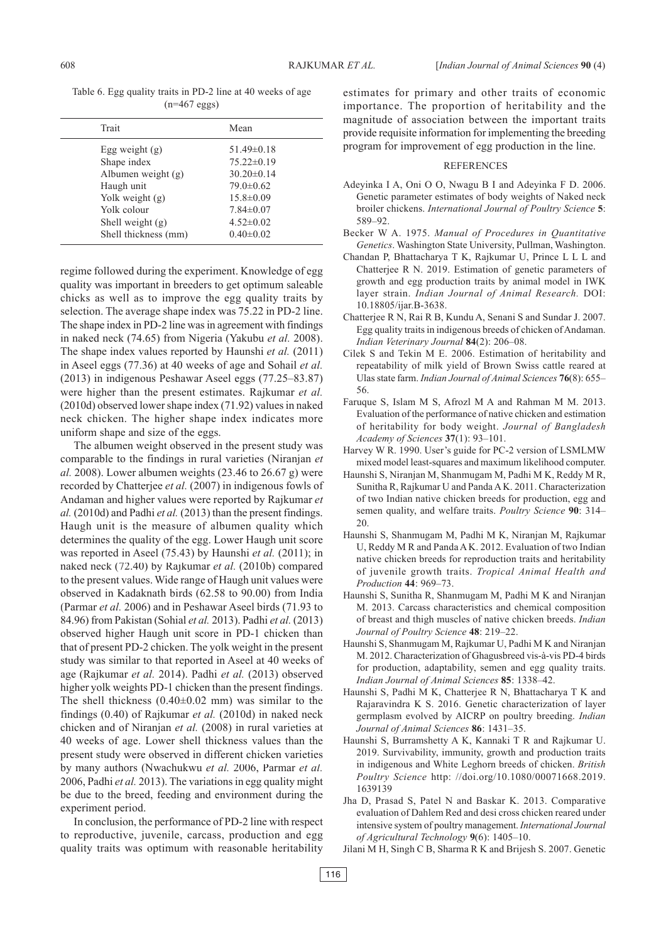| Trait                | Mean             |  |  |
|----------------------|------------------|--|--|
| Egg weight $(g)$     | $51.49 \pm 0.18$ |  |  |
| Shape index          | $75.22 \pm 0.19$ |  |  |
| Albumen weight (g)   | $30.20 \pm 0.14$ |  |  |
| Haugh unit           | $79.0 \pm 0.62$  |  |  |
| Yolk weight $(g)$    | $15.8 \pm 0.09$  |  |  |
| Yolk colour          | $7.84 \pm 0.07$  |  |  |
| Shell weight $(g)$   | $4.52 \pm 0.02$  |  |  |
| Shell thickness (mm) | $0.40 \pm 0.02$  |  |  |
|                      |                  |  |  |

regime followed during the experiment. Knowledge of egg quality was important in breeders to get optimum saleable chicks as well as to improve the egg quality traits by selection. The average shape index was 75.22 in PD-2 line. The shape index in PD-2 line was in agreement with findings in naked neck (74.65) from Nigeria (Yakubu *et al.* 2008). The shape index values reported by Haunshi *et al.* (2011) in Aseel eggs (77.36) at 40 weeks of age and Sohail *et al.* (2013) in indigenous Peshawar Aseel eggs (77.25–83.87) were higher than the present estimates. Rajkumar *et al.* (2010d) observed lower shape index (71.92) values in naked neck chicken. The higher shape index indicates more uniform shape and size of the eggs.

The albumen weight observed in the present study was comparable to the findings in rural varieties (Niranjan *et al.* 2008). Lower albumen weights (23.46 to 26.67 g) were recorded by Chatterjee *et al.* (2007) in indigenous fowls of Andaman and higher values were reported by Rajkumar *et al.* (2010d) and Padhi *et al.* (2013) than the present findings. Haugh unit is the measure of albumen quality which determines the quality of the egg. Lower Haugh unit score was reported in Aseel (75.43) by Haunshi *et al.* (2011); in naked neck (72.40) by Rajkumar *et al.* (2010b) compared to the present values. Wide range of Haugh unit values were observed in Kadaknath birds (62.58 to 90.00) from India (Parmar *et al.* 2006) and in Peshawar Aseel birds (71.93 to 84.96) from Pakistan (Sohial *et al.* 2013). Padhi *et al.* (2013) observed higher Haugh unit score in PD-1 chicken than that of present PD-2 chicken. The yolk weight in the present study was similar to that reported in Aseel at 40 weeks of age (Rajkumar *et al.* 2014). Padhi *et al.* (2013) observed higher yolk weights PD-1 chicken than the present findings. The shell thickness  $(0.40\pm0.02 \text{ mm})$  was similar to the findings (0.40) of Rajkumar *et al.* (2010d) in naked neck chicken and of Niranjan *et al.* (2008) in rural varieties at 40 weeks of age. Lower shell thickness values than the present study were observed in different chicken varieties by many authors (Nwachukwu *et al.* 2006, Parmar *et al.* 2006, Padhi *et al.* 2013). The variations in egg quality might be due to the breed, feeding and environment during the experiment period.

In conclusion, the performance of PD-2 line with respect to reproductive, juvenile, carcass, production and egg quality traits was optimum with reasonable heritability estimates for primary and other traits of economic importance. The proportion of heritability and the magnitude of association between the important traits provide requisite information for implementing the breeding program for improvement of egg production in the line.

#### REFERENCES

- Adeyinka I A, Oni O O, Nwagu B I and Adeyinka F D. 2006. Genetic parameter estimates of body weights of Naked neck broiler chickens. *International Journal of Poultry Science* **5**: 589–92.
- Becker W A. 1975. *Manual of Procedures in Quantitative Genetics*. Washington State University, Pullman, Washington.
- Chandan P, Bhattacharya T K, Rajkumar U, Prince L L L and Chatterjee R N. 2019. Estimation of genetic parameters of growth and egg production traits by animal model in IWK layer strain. *Indian Journal of Animal Research.* DOI: 10.18805/ijar.B-3638.
- Chatterjee R N, Rai R B, Kundu A, Senani S and Sundar J. 2007. Egg quality traits in indigenous breeds of chicken of Andaman. *Indian Veterinary Journal* **84**(2): 206–08.
- Cilek S and Tekin M E. 2006. Estimation of heritability and repeatability of milk yield of Brown Swiss cattle reared at Ulas state farm. *Indian Journal of Animal Sciences* **76**(8): 655– 56.
- Faruque S, Islam M S, Afrozl M A and Rahman M M. 2013. Evaluation of the performance of native chicken and estimation of heritability for body weight. *Journal of Bangladesh Academy of Sciences* **37**(1): 93–101.
- Harvey W R. 1990. User's guide for PC-2 version of LSMLMW mixed model least-squares and maximum likelihood computer.
- Haunshi S, Niranjan M, Shanmugam M, Padhi M K, Reddy M R, Sunitha R, Rajkumar U and Panda A K. 2011. Characterization of two Indian native chicken breeds for production, egg and semen quality, and welfare traits. *Poultry Science* **90**: 314– 20.
- Haunshi S, Shanmugam M, Padhi M K, Niranjan M, Rajkumar U, Reddy M R and Panda A K. 2012. Evaluation of two Indian native chicken breeds for reproduction traits and heritability of juvenile growth traits. *Tropical Animal Health and Production* **44**: 969–73.
- Haunshi S, Sunitha R, Shanmugam M, Padhi M K and Niranjan M. 2013. Carcass characteristics and chemical composition of breast and thigh muscles of native chicken breeds. *Indian Journal of Poultry Science* **48**: 219–22.
- Haunshi S, Shanmugam M, Rajkumar U, Padhi M K and Niranjan M. 2012. Characterization of Ghagusbreed vis-à-vis PD-4 birds for production, adaptability, semen and egg quality traits. *Indian Journal of Animal Sciences* **85**: 1338–42.
- Haunshi S, Padhi M K, Chatterjee R N, Bhattacharya T K and Rajaravindra K S. 2016. Genetic characterization of layer germplasm evolved by AICRP on poultry breeding. *Indian Journal of Animal Sciences* **86**: 1431–35.
- Haunshi S, Burramshetty A K, Kannaki T R and Rajkumar U. 2019. Survivability, immunity, growth and production traits in indigenous and White Leghorn breeds of chicken. *British Poultry Science* http: //doi.org/10.1080/00071668.2019. 1639139
- Jha D, Prasad S, Patel N and Baskar K. 2013. Comparative evaluation of Dahlem Red and desi cross chicken reared under intensive system of poultry management. *International Journal of Agricultural Technology* **9**(6): 1405–10.
- Jilani M H, Singh C B, Sharma R K and Brijesh S. 2007. Genetic